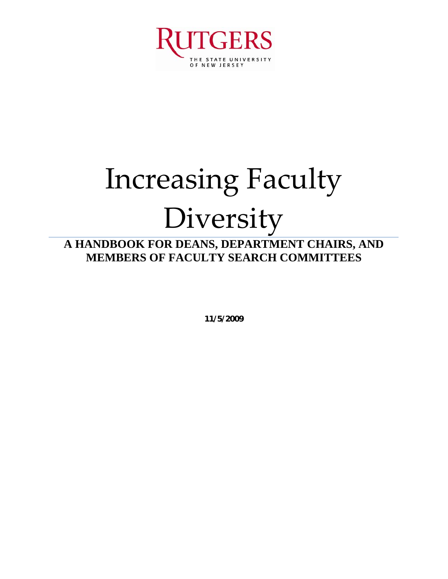

## Increasing Faculty Diversity

## **A HANDBOOK FOR DEANS, DEPARTMENT CHAIRS, AND MEMBERS OF FACULTY SEARCH COMMITTEES**

**11/5/2009**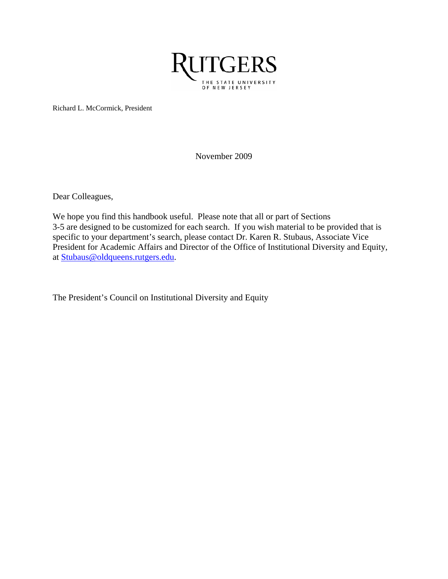

Richard L. McCormick, President

November 2009

Dear Colleagues,

We hope you find this handbook useful. Please note that all or part of Sections 3-5 are designed to be customized for each search. If you wish material to be provided that is specific to your department's search, please contact Dr. Karen R. Stubaus, Associate Vice President for Academic Affairs and Director of the Office of Institutional Diversity and Equity, at [Stubaus@oldqueens.rutgers.edu](mailto:Stubaus@oldqueens.rutgers.edu).

The President's Council on Institutional Diversity and Equity